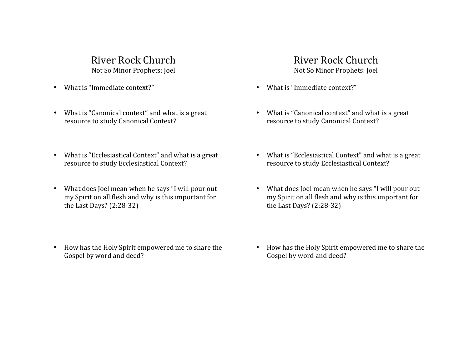# River Rock Church Not So Minor Prophets: Joel

- $\bullet$  What is "Immediate context?"
- What is "Canonical context" and what is a great resource to study Canonical Context?
- What is "Ecclesiastical Context" and what is a great resource to study Ecclesiastical Context?
- What does Joel mean when he says "I will pour out my Spirit on all flesh and why is this important for the Last Days?  $(2:28-32)$
- How has the Holy Spirit empowered me to share the Gospel by word and deed?

# River Rock Church

Not So Minor Prophets: Joel

- $\bullet$  What is "Immediate context?"
- What is "Canonical context" and what is a great resource to study Canonical Context?
- What is "Ecclesiastical Context" and what is a great resource to study Ecclesiastical Context?
- What does Joel mean when he says "I will pour out my Spirit on all flesh and why is this important for the Last Days?  $(2:28-32)$
- How has the Holy Spirit empowered me to share the Gospel by word and deed?